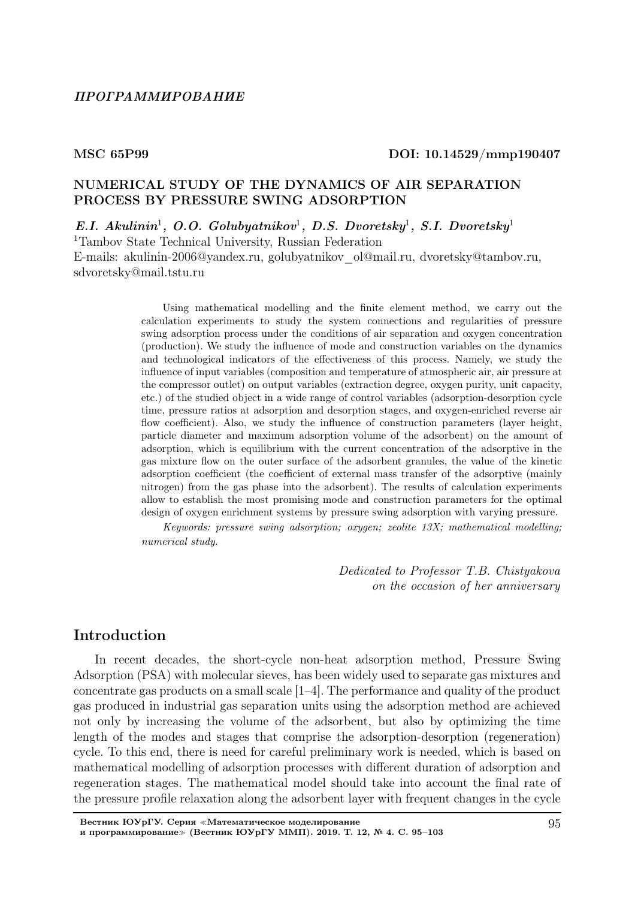## MSC 65P99 DOI: 10.14529/mmp190407

### NUMERICAL STUDY OF THE DYNAMICS OF AIR SEPARATION PROCESS BY PRESSURE SWING ADSORPTION

 $E.I.$  Akulinin<sup>1</sup>, O.O. Golubyatnikov<sup>1</sup>, D.S. Dvoretsky<sup>1</sup>, S.I. Dvoretsky<sup>1</sup>

<sup>1</sup>Tambov State Technical University, Russian Federation E-mails: akulinin-2006@yandex.ru, golubyatnikov\_ol@mail.ru, dvoretsky@tambov.ru, sdvoretsky@mail.tstu.ru

> Using mathematical modelling and the finite element method, we carry out the calculation experiments to study the system connections and regularities of pressure swing adsorption process under the conditions of air separation and oxygen concentration (production). We study the influence of mode and construction variables on the dynamics and technological indicators of the effectiveness of this process. Namely, we study the influence of input variables (composition and temperature of atmospheric air, air pressure at the compressor outlet) on output variables (extraction degree, oxygen purity, unit capacity, etc.) of the studied object in a wide range of control variables (adsorption-desorption cycle time, pressure ratios at adsorption and desorption stages, and oxygen-enriched reverse air flow coefficient). Also, we study the influence of construction parameters (layer height, particle diameter and maximum adsorption volume of the adsorbent) on the amount of adsorption, which is equilibrium with the current concentration of the adsorptive in the gas mixture flow on the outer surface of the adsorbent granules, the value of the kinetic adsorption coefficient (the coefficient of external mass transfer of the adsorptive (mainly nitrogen) from the gas phase into the adsorbent). The results of calculation experiments allow to establish the most promising mode and construction parameters for the optimal design of oxygen enrichment systems by pressure swing adsorption with varying pressure.

> Keywords: pressure swing adsorption; oxygen; zeolite 13X; mathematical modelling; numerical study.

> > Dedicated to Professor T.B. Chistyakova on the occasion of her anniversary

### Introduction

In recent decades, the short-cycle non-heat adsorption method, Pressure Swing Adsorption (PSA) with molecular sieves, has been widely used to separate gas mixtures and concentrate gas products on a small scale [1–4]. The performance and quality of the product gas produced in industrial gas separation units using the adsorption method are achieved not only by increasing the volume of the adsorbent, but also by optimizing the time length of the modes and stages that comprise the adsorption-desorption (regeneration) cycle. To this end, there is need for careful preliminary work is needed, which is based on mathematical modelling of adsorption processes with different duration of adsorption and regeneration stages. The mathematical model should take into account the final rate of the pressure profile relaxation along the adsorbent layer with frequent changes in the cycle

Вестник ЮУрГУ. Серия <sup>≪</sup>Математическое моделирование и программирование<sup>≫</sup> (Вестник ЮУрГУ ММП). 2019. Т. 12, № 4. С. 95–103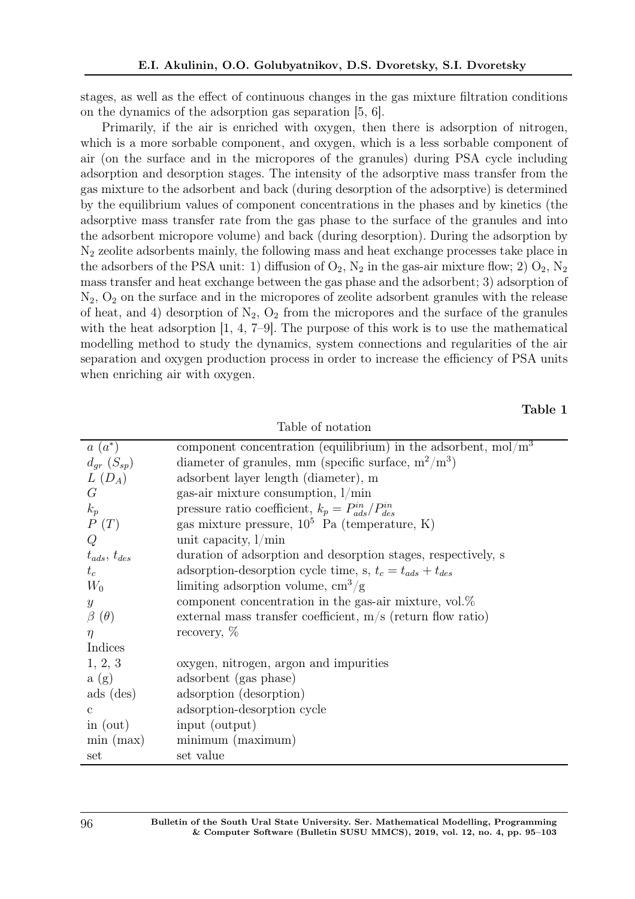stages, as well as the effect of continuous changes in the gas mixture filtration conditions on the dynamics of the adsorption gas separation [5, 6].

Primarily, if the air is enriched with oxygen, then there is adsorption of nitrogen, which is a more sorbable component, and oxygen, which is a less sorbable component of air (on the surface and in the micropores of the granules) during PSA cycle including adsorption and desorption stages. The intensity of the adsorptive mass transfer from the gas mixture to the adsorbent and back (during desorption of the adsorptive) is determined by the equilibrium values of component concentrations in the phases and by kinetics (the adsorptive mass transfer rate from the gas phase to the surface of the granules and into the adsorbent micropore volume) and back (during desorption). During the adsorption by N<sup>2</sup> zeolite adsorbents mainly, the following mass and heat exchange processes take place in the adsorbers of the PSA unit: 1) diffusion of  $O_2$ ,  $N_2$  in the gas-air mixture flow; 2)  $O_2$ ,  $N_2$ mass transfer and heat exchange between the gas phase and the adsorbent; 3) adsorption of  $N_2$ ,  $O_2$  on the surface and in the micropores of zeolite adsorbent granules with the release of heat, and 4) desorption of  $N_2$ ,  $O_2$  from the micropores and the surface of the granules with the heat adsorption  $[1, 4, 7-9]$ . The purpose of this work is to use the mathematical modelling method to study the dynamics, system connections and regularities of the air separation and oxygen production process in order to increase the efficiency of PSA units when enriching air with oxygen.

### Table 1

| $a(a^*)$            | component concentration (equilibrium) in the adsorbent, $mol/m3$ |
|---------------------|------------------------------------------------------------------|
| $d_{qr}$ $(S_{sp})$ | diameter of granules, mm (specific surface, $m^2/m^3$ )          |
| $L(D_A)$            | adsorbent layer length (diameter), m                             |
| $G_{\mathcal{L}}$   | gas-air mixture consumption, $1/\text{min}$                      |
| $k_p$               | pressure ratio coefficient, $k_p = P_{ads}^{in}/P_{des}^{in}$    |
| P(T)                | gas mixture pressure, $10^5$ Pa (temperature, K)                 |
| Q                   | unit capacity, $1/\min$                                          |
| $t_{ads}, t_{des}$  | duration of adsorption and desorption stages, respectively, s    |
| $t_c$               | adsorption-desorption cycle time, s, $t_c = t_{ads} + t_{des}$   |
| $W_0$               | limiting adsorption volume, $\text{cm}^3/\text{g}$               |
| $\boldsymbol{y}$    | component concentration in the gas-air mixture, $vol.\%$         |
| $\beta(\theta)$     | external mass transfer coefficient, $m/s$ (return flow ratio)    |
| $\eta$              | recovery, $\%$                                                   |
| Indices             |                                                                  |
| 1, 2, 3             | oxygen, nitrogen, argon and impurities                           |
| a(g)                | adsorbent (gas phase)                                            |
| $ads$ (des)         | adsorption (desorption)                                          |
| $\mathbf{c}$        | adsorption-desorption cycle                                      |
| in $(out)$          | input (output)                                                   |
| $\min$ (max)        | minimum (maximum)                                                |
| set                 | set value                                                        |

Table of notation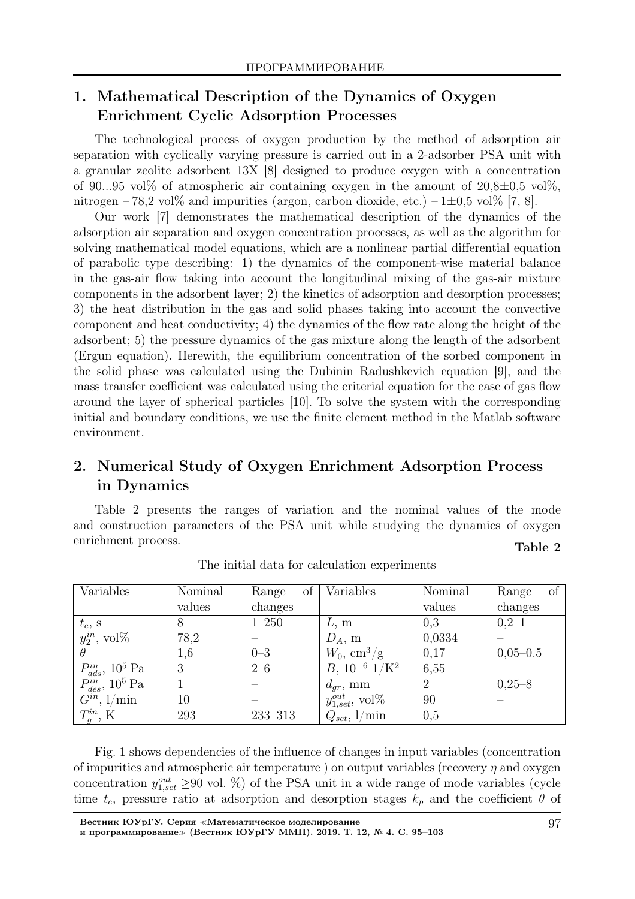# 1. Mathematical Description of the Dynamics of Oxygen Enrichment Cyclic Adsorption Processes

The technological process of oxygen production by the method of adsorption air separation with cyclically varying pressure is carried out in a 2-adsorber PSA unit with a granular zeolite adsorbent 13X [8] designed to produce oxygen with a concentration of 90...95 vol% of atmospheric air containing oxygen in the amount of  $20,8\pm0.5$  vol%, nitrogen – 78,2 vol% and impurities (argon, carbon dioxide, etc.) –  $1\pm 0.5$  vol% [7, 8].

Our work [7] demonstrates the mathematical description of the dynamics of the adsorption air separation and oxygen concentration processes, as well as the algorithm for solving mathematical model equations, which are a nonlinear partial differential equation of parabolic type describing: 1) the dynamics of the component-wise material balance in the gas-air flow taking into account the longitudinal mixing of the gas-air mixture components in the adsorbent layer; 2) the kinetics of adsorption and desorption processes; 3) the heat distribution in the gas and solid phases taking into account the convective component and heat conductivity; 4) the dynamics of the flow rate along the height of the adsorbent; 5) the pressure dynamics of the gas mixture along the length of the adsorbent (Ergun equation). Herewith, the equilibrium concentration of the sorbed component in the solid phase was calculated using the Dubinin–Radushkevich equation [9], and the mass transfer coefficient was calculated using the criterial equation for the case of gas flow around the layer of spherical particles [10]. To solve the system with the corresponding initial and boundary conditions, we use the finite element method in the Matlab software environment.

# 2. Numerical Study of Oxygen Enrichment Adsorption Process in Dynamics

Table 2 presents the ranges of variation and the nominal values of the mode and construction parameters of the PSA unit while studying the dynamics of oxygen enrichment process. Table 2

| Variables                                                                                          | Nominal | $\circ$ f  <br>Range | Variables                    | Nominal        | Range<br>of |
|----------------------------------------------------------------------------------------------------|---------|----------------------|------------------------------|----------------|-------------|
|                                                                                                    | values  | changes              |                              | values         | changes     |
|                                                                                                    |         | $1 - 250$            | L, m                         | 0,3            | $0,2-1$     |
| $t_c$ , s<br>$y_2^{in}$ , vol $\%$                                                                 | 78,2    |                      | $D_A$ , m                    | 0,0334         |             |
|                                                                                                    | 1,6     | $0 - 3$              | $W_0, \text{ cm}^3/\text{g}$ | 0,17           | $0,05-0.5$  |
|                                                                                                    | 3       | $2 - 6$              | $B, 10^{-6}$ $1/K^2$         | 6,55           |             |
| $\begin{array}{c} P_{ads}^{in},\,10^5\;\mathrm{Pa}\\ P_{des}^{in},\,10^5\;\mathrm{Pa} \end{array}$ |         |                      | $d_{qr}$ , mm                | $\overline{2}$ | $0,25 - 8$  |
| $G^{in}, 1/\mathrm{min}$                                                                           | 10      |                      | $y_{1,set}^{out}$ , vol $\%$ | 90             |             |
| $T_g^{in}$ , K                                                                                     | 293     | $233 - 313$          | $Q_{set}$ , $1/\text{min}$   | 0,5            |             |

|  |  |  | The initial data for calculation experiments |
|--|--|--|----------------------------------------------|
|  |  |  |                                              |

Fig. 1 shows dependencies of the influence of changes in input variables (concentration of impurities and atmospheric air temperature ) on output variables (recovery  $\eta$  and oxygen concentration  $y_{1,set}^{out} \ge 90$  vol. %) of the PSA unit in a wide range of mode variables (cycle time  $t_c$ , pressure ratio at adsorption and desorption stages  $k_p$  and the coefficient  $\theta$  of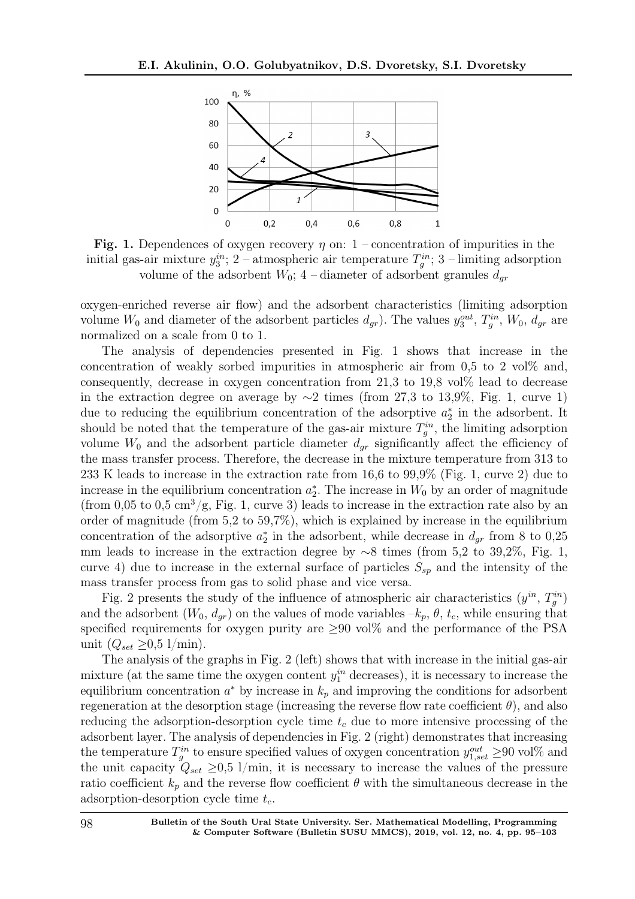

Fig. 1. Dependences of oxygen recovery  $\eta$  on: 1 – concentration of impurities in the initial gas-air mixture  $y_3^{in}$ ; 2 – atmospheric air temperature  $T_g^{in}$ ; 3 – limiting adsorption volume of the adsorbent  $W_0$ ; 4 – diameter of adsorbent granules  $d_{\alpha r}$ 

oxygen-enriched reverse air flow) and the adsorbent characteristics (limiting adsorption volume  $W_0$  and diameter of the adsorbent particles  $d_{gr}$ ). The values  $y_3^{out}$ ,  $T_g^{in}$ ,  $W_0$ ,  $d_{gr}$  are normalized on a scale from 0 to 1.

The analysis of dependencies presented in Fig. 1 shows that increase in the concentration of weakly sorbed impurities in atmospheric air from  $0.5$  to 2 vol $\%$  and, consequently, decrease in oxygen concentration from  $21.3$  to  $19.8$  vol $\%$  lead to decrease in the extraction degree on average by  $\sim$ 2 times (from 27,3 to 13,9%, Fig. 1, curve 1) due to reducing the equilibrium concentration of the adsorptive  $a_2^*$  in the adsorbent. It should be noted that the temperature of the gas-air mixture  $T_g^{in}$ , the limiting adsorption volume  $W_0$  and the adsorbent particle diameter  $d_{qr}$  significantly affect the efficiency of the mass transfer process. Therefore, the decrease in the mixture temperature from 313 to 233 K leads to increase in the extraction rate from 16,6 to 99,9% (Fig. 1, curve 2) due to increase in the equilibrium concentration  $a_2^*$ . The increase in  $W_0$  by an order of magnitude (from 0,05 to 0,5 cm<sup>3</sup>/g, Fig. 1, curve 3) leads to increase in the extraction rate also by an order of magnitude (from 5,2 to 59,7%), which is explained by increase in the equilibrium concentration of the adsorptive  $a_2^*$  in the adsorbent, while decrease in  $d_{gr}$  from 8 to 0,25 mm leads to increase in the extraction degree by ∼8 times (from 5,2 to 39,2%, Fig. 1, curve 4) due to increase in the external surface of particles  $S_{sp}$  and the intensity of the mass transfer process from gas to solid phase and vice versa.

Fig. 2 presents the study of the influence of atmospheric air characteristics  $(y^{in}, T_g^{in})$ and the adsorbent  $(W_0, d_{qr})$  on the values of mode variables  $-k_p, \theta, t_c$ , while ensuring that specified requirements for oxygen purity are  $\geq 90$  vol% and the performance of the PSA unit  $(Q_{set} \geq 0.5 \frac{\mathrm{1}}{\mathrm{min}})$ .

The analysis of the graphs in Fig. 2 (left) shows that with increase in the initial gas-air mixture (at the same time the oxygen content  $y_1^{in}$  decreases), it is necessary to increase the equilibrium concentration  $a^*$  by increase in  $k_p$  and improving the conditions for adsorbent regeneration at the desorption stage (increasing the reverse flow rate coefficient  $\theta$ ), and also reducing the adsorption-desorption cycle time  $t_c$  due to more intensive processing of the adsorbent layer. The analysis of dependencies in Fig. 2 (right) demonstrates that increasing the temperature  $T_g^{in}$  to ensure specified values of oxygen concentration  $y_{1,set}^{out} \geq 90$  vol% and the unit capacity  $Q_{set} \geq 0.5$  l/min, it is necessary to increase the values of the pressure ratio coefficient  $k_p$  and the reverse flow coefficient  $\theta$  with the simultaneous decrease in the adsorption-desorption cycle time  $t_c$ .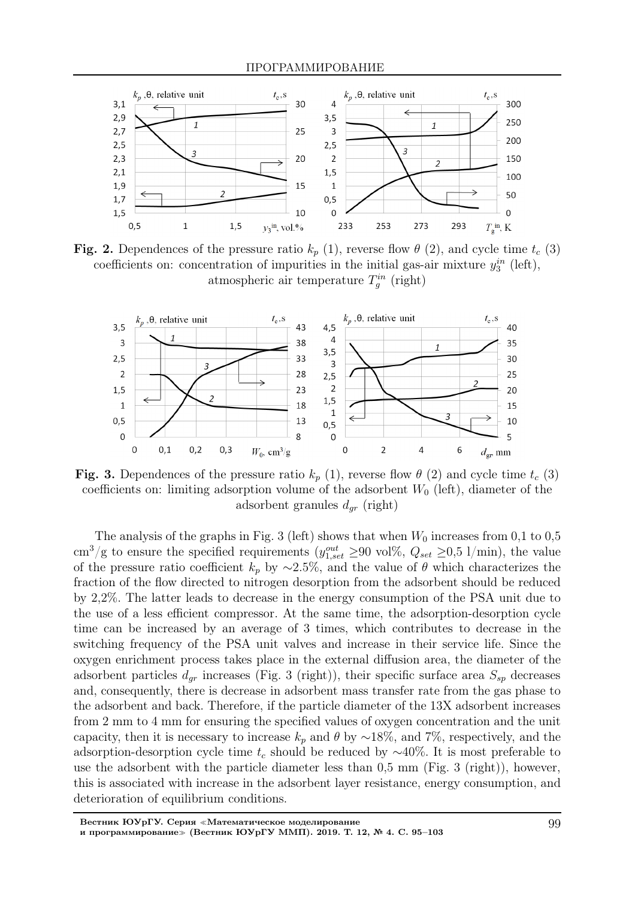

Fig. 2. Dependences of the pressure ratio  $k_p$  (1), reverse flow  $\theta$  (2), and cycle time  $t_c$  (3) coefficients on: concentration of impurities in the initial gas-air mixture  $y_3^{in}$  (left), atmospheric air temperature  $T_g^{in}$  (right)



Fig. 3. Dependences of the pressure ratio  $k_p$  (1), reverse flow  $\theta$  (2) and cycle time  $t_c$  (3) coefficients on: limiting adsorption volume of the adsorbent  $W_0$  (left), diameter of the adsorbent granules  $d_{qr}$  (right)

The analysis of the graphs in Fig. 3 (left) shows that when  $W_0$  increases from 0,1 to 0,5 cm<sup>3</sup>/g to ensure the specified requirements  $(y_{1,set}^{out} \geq 90 \text{ vol}\%, Q_{set} \geq 0.5 \frac{1}{\min})$ , the value of the pressure ratio coefficient  $k_p$  by ∼2.5%, and the value of  $\theta$  which characterizes the fraction of the flow directed to nitrogen desorption from the adsorbent should be reduced by 2,2%. The latter leads to decrease in the energy consumption of the PSA unit due to the use of a less efficient compressor. At the same time, the adsorption-desorption cycle time can be increased by an average of 3 times, which contributes to decrease in the switching frequency of the PSA unit valves and increase in their service life. Since the oxygen enrichment process takes place in the external diffusion area, the diameter of the adsorbent particles  $d_{qr}$  increases (Fig. 3 (right)), their specific surface area  $S_{sp}$  decreases and, consequently, there is decrease in adsorbent mass transfer rate from the gas phase to the adsorbent and back. Therefore, if the particle diameter of the 13X adsorbent increases from 2 mm to 4 mm for ensuring the specified values of oxygen concentration and the unit capacity, then it is necessary to increase  $k_p$  and  $\theta$  by ~18%, and 7%, respectively, and the adsorption-desorption cycle time  $t_c$  should be reduced by  $~\sim$ 40%. It is most preferable to use the adsorbent with the particle diameter less than 0,5 mm (Fig. 3 (right)), however, this is associated with increase in the adsorbent layer resistance, energy consumption, and deterioration of equilibrium conditions.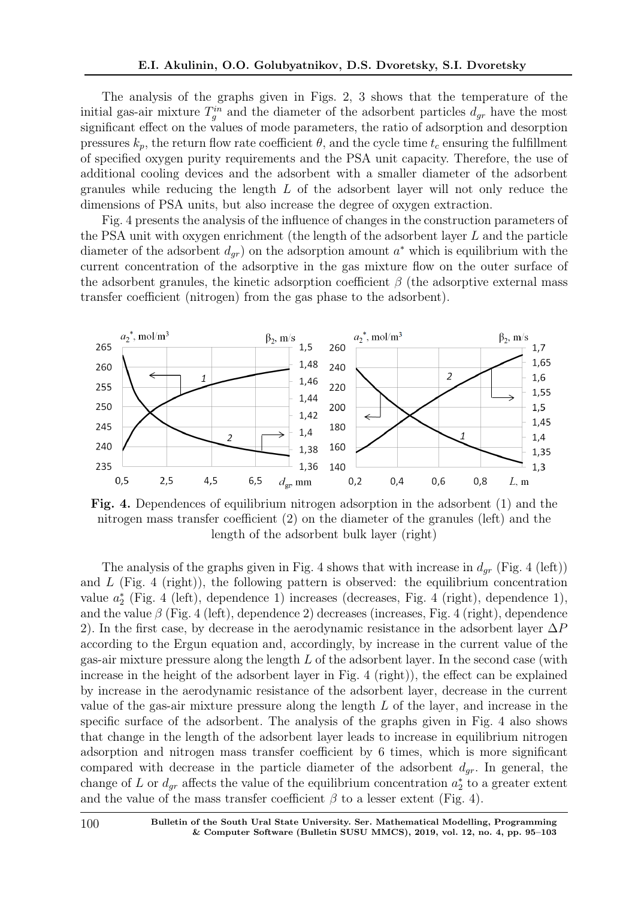The analysis of the graphs given in Figs. 2, 3 shows that the temperature of the initial gas-air mixture  $T_g^{in}$  and the diameter of the adsorbent particles  $d_{gr}$  have the most significant effect on the values of mode parameters, the ratio of adsorption and desorption pressures  $k_p$ , the return flow rate coefficient  $\theta$ , and the cycle time  $t_c$  ensuring the fulfillment of specified oxygen purity requirements and the PSA unit capacity. Therefore, the use of additional cooling devices and the adsorbent with a smaller diameter of the adsorbent granules while reducing the length  $L$  of the adsorbent layer will not only reduce the dimensions of PSA units, but also increase the degree of oxygen extraction.

Fig. 4 presents the analysis of the influence of changes in the construction parameters of the PSA unit with oxygen enrichment (the length of the adsorbent layer L and the particle diameter of the adsorbent  $d_{gr}$ ) on the adsorption amount  $a^*$  which is equilibrium with the current concentration of the adsorptive in the gas mixture flow on the outer surface of the adsorbent granules, the kinetic adsorption coefficient  $\beta$  (the adsorptive external mass transfer coefficient (nitrogen) from the gas phase to the adsorbent).



Fig. 4. Dependences of equilibrium nitrogen adsorption in the adsorbent (1) and the nitrogen mass transfer coefficient (2) on the diameter of the granules (left) and the length of the adsorbent bulk layer (right)

The analysis of the graphs given in Fig. 4 shows that with increase in  $d_{gr}$  (Fig. 4 (left)) and  $L$  (Fig. 4 (right)), the following pattern is observed: the equilibrium concentration value  $a_2^*$  (Fig. 4 (left), dependence 1) increases (decreases, Fig. 4 (right), dependence 1), and the value  $\beta$  (Fig. 4 (left), dependence 2) decreases (increases, Fig. 4 (right), dependence 2). In the first case, by decrease in the aerodynamic resistance in the adsorbent layer  $\Delta P$ according to the Ergun equation and, accordingly, by increase in the current value of the gas-air mixture pressure along the length L of the adsorbent layer. In the second case (with increase in the height of the adsorbent layer in Fig. 4 (right)), the effect can be explained by increase in the aerodynamic resistance of the adsorbent layer, decrease in the current value of the gas-air mixture pressure along the length  $L$  of the layer, and increase in the specific surface of the adsorbent. The analysis of the graphs given in Fig. 4 also shows that change in the length of the adsorbent layer leads to increase in equilibrium nitrogen adsorption and nitrogen mass transfer coefficient by 6 times, which is more significant compared with decrease in the particle diameter of the adsorbent  $d_{qr}$ . In general, the change of L or  $d_{gr}$  affects the value of the equilibrium concentration  $a_2^*$  to a greater extent and the value of the mass transfer coefficient  $\beta$  to a lesser extent (Fig. 4).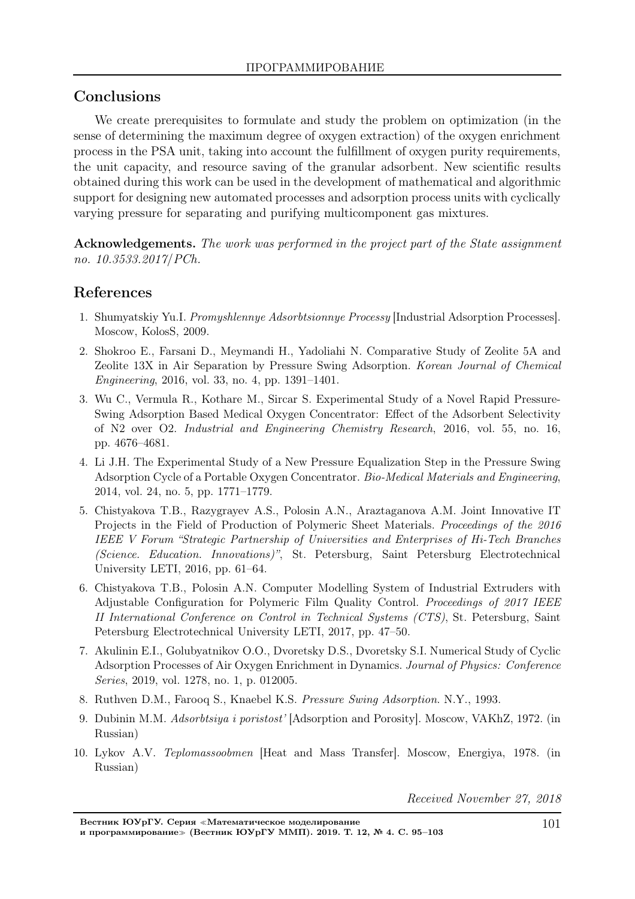# Conclusions

We create prerequisites to formulate and study the problem on optimization (in the sense of determining the maximum degree of oxygen extraction) of the oxygen enrichment process in the PSA unit, taking into account the fulfillment of oxygen purity requirements, the unit capacity, and resource saving of the granular adsorbent. New scientific results obtained during this work can be used in the development of mathematical and algorithmic support for designing new automated processes and adsorption process units with cyclically varying pressure for separating and purifying multicomponent gas mixtures.

Acknowledgements. The work was performed in the project part of the State assignment no. 10.3533.2017/PCh.

# References

- 1. Shumyatskiy Yu.I. *Promyshlennye Adsorbtsionnye Processy* [Industrial Adsorption Processes]. Moscow, KolosS, 2009.
- 2. Shokroo E., Farsani D., Meymandi H., Yadoliahi N. Comparative Study of Zeolite 5A and Zeolite 13X in Air Separation by Pressure Swing Adsorption. *Korean Journal of Chemical Engineering*, 2016, vol. 33, no. 4, pp. 1391–1401.
- 3. Wu C., Vermula R., Kothare M., Sircar S. Experimental Study of a Novel Rapid Pressure-Swing Adsorption Based Medical Oxygen Concentrator: Effect of the Adsorbent Selectivity of N2 over O2. *Industrial and Engineering Chemistry Research*, 2016, vol. 55, no. 16, pp. 4676–4681.
- 4. Li J.H. The Experimental Study of a New Pressure Equalization Step in the Pressure Swing Adsorption Cycle of a Portable Oxygen Concentrator. *Bio-Medical Materials and Engineering*, 2014, vol. 24, no. 5, pp. 1771–1779.
- 5. Chistyakova T.B., Razygrayev A.S., Polosin A.N., Araztaganova A.M. Joint Innovative IT Projects in the Field of Production of Polymeric Sheet Materials. *Proceedings of the 2016 IEEE V Forum "Strategic Partnership of Universities and Enterprises of Hi-Tech Branches (Science. Education. Innovations)"*, St. Petersburg, Saint Petersburg Electrotechnical University LETI, 2016, pp. 61–64.
- 6. Chistyakova T.B., Polosin A.N. Computer Modelling System of Industrial Extruders with Adjustable Configuration for Polymeric Film Quality Control. *Proceedings of 2017 IEEE II International Conference on Control in Technical Systems (CTS)*, St. Petersburg, Saint Petersburg Electrotechnical University LETI, 2017, pp. 47–50.
- 7. Akulinin E.I., Golubyatnikov O.O., Dvoretsky D.S., Dvoretsky S.I. Numerical Study of Cyclic Adsorption Processes of Air Oxygen Enrichment in Dynamics. *Journal of Physics: Conference Series*, 2019, vol. 1278, no. 1, p. 012005.
- 8. Ruthven D.M., Farooq S., Knaebel K.S. *Pressure Swing Adsorption*. N.Y., 1993.
- 9. Dubinin M.M. *Adsorbtsiya i poristost'* [Adsorption and Porosity]. Moscow, VAKhZ, 1972. (in Russian)
- 10. Lykov A.V. *Teplomassoobmen* [Heat and Mass Transfer]. Moscow, Energiya, 1978. (in Russian)

Received November 27, 2018

Вестник ЮУрГУ. Серия <sup>≪</sup>Математическое моделирование и программирование<sup>≫</sup> (Вестник ЮУрГУ ММП). 2019. Т. 12, № 4. С. 95–103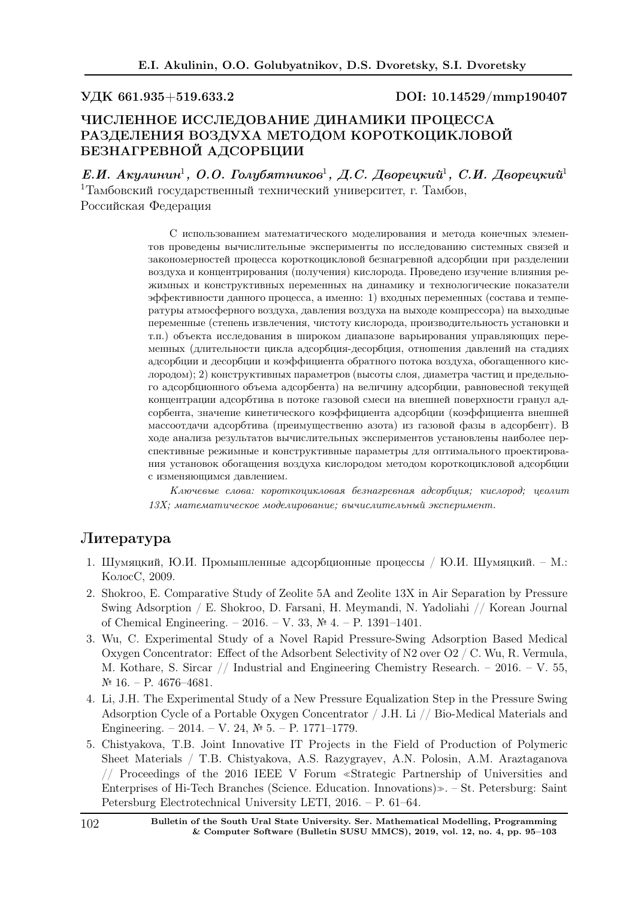УДК 661.935+519.633.2 DOI: 10.14529/mmp190407

### ЧИСЛЕННОЕ ИССЛЕДОВАНИЕ ДИНАМИКИ ПРОЦЕССА РАЗДЕЛЕНИЯ ВОЗДУХА МЕТОДОМ КОРОТКОЦИКЛОВОЙ БЕЗНАГРЕВНОЙ АДСОРБЦИИ

Е.И. Акулинин<sup>1</sup>, О.О. Голубятников<sup>1</sup>, Д.С. Дворецкий<sup>1</sup>, С.И. Дворецкий<sup>1</sup> <sup>1</sup>Тамбовский государственный технический университет, г. Тамбов, Российская Федерация

> С использованием математического моделирования и метода конечных элементов проведены вычислительные эксперименты по исследованию системных связей и закономерностей процесса короткоцикловой безнагревной адсорбции при разделении воздуха и концентрирования (получения) кислорода. Проведено изучение влияния режимных и конструктивных переменных на динамику и технологические показатели эффективности данного процесса, а именно: 1) входных переменных (состава и температуры атмосферного воздуха, давления воздуха на выходе компрессора) на выходные переменные (степень извлечения, чистоту кислорода, производительность установки и т.п.) объекта исследования в широком диапазоне варьирования управляющих переменных (длительности цикла адсорбция-десорбция, отношения давлений на стадиях адсорбции и десорбции и коэффициента обратного потока воздуха, обогащенного кислородом); 2) конструктивных параметров (высоты слоя, диаметра частиц и предельного адсорбционного объема адсорбента) на величину адсорбции, равновесной текущей концентрации адсорбтива в потоке газовой смеси на внешней поверхности гранул адсорбента, значение кинетического коэффициента адсорбции (коэффициента внешней массоотдачи адсорбтива (преимущественно азота) из газовой фазы в адсорбент). В ходе анализа результатов вычислительных экспериментов установлены наиболее перспективные режимные и конструктивные параметры для оптимального проектирования установок обогащения воздуха кислородом методом короткоцикловой адсорбции с изменяющимся давлением.

> Ключевые слова: короткоцикловая безнагревная адсорбция; кислород; цеолит 13X; математическое моделирование; вычислительный эксперимент.

## Литература

- 1. Шумяцкий, Ю.И. Промышленные адсорбционные процессы / Ю.И. Шумяцкий. М.: КолосС, 2009.
- 2. Shokroo, E. Comparative Study of Zeolite 5A and Zeolite 13X in Air Separation by Pressure Swing Adsorption / E. Shokroo, D. Farsani, H. Meymandi, N. Yadoliahi // Korean Journal of Chemical Engineering. – 2016. – V. 33, № 4. – P. 1391–1401.
- 3. Wu, C. Experimental Study of a Novel Rapid Pressure-Swing Adsorption Based Medical Oxygen Concentrator: Effect of the Adsorbent Selectivity of N2 over O2 / C. Wu, R. Vermula, M. Kothare, S. Sircar // Industrial and Engineering Chemistry Research. – 2016. – V. 55, № 16. – P. 4676–4681.
- 4. Li, J.H. The Experimental Study of a New Pressure Equalization Step in the Pressure Swing Adsorption Cycle of a Portable Oxygen Concentrator / J.H. Li // Bio-Medical Materials and Engineering. – 2014. – V. 24,  $\mathbb{N}^2$  5. – P. 1771–1779.
- 5. Chistyakova, T.B. Joint Innovative IT Projects in the Field of Production of Polymeric Sheet Materials / T.B. Chistyakova, A.S. Razygrayev, A.N. Polosin, A.M. Araztaganova // Proceedings of the 2016 IEEE V Forum <sup>≪</sup>Strategic Partnership of Universities and Enterprises of Hi-Tech Branches (Science. Education. Innovations)≫. – St. Petersburg: Saint Petersburg Electrotechnical University LETI, 2016. – P. 61–64.